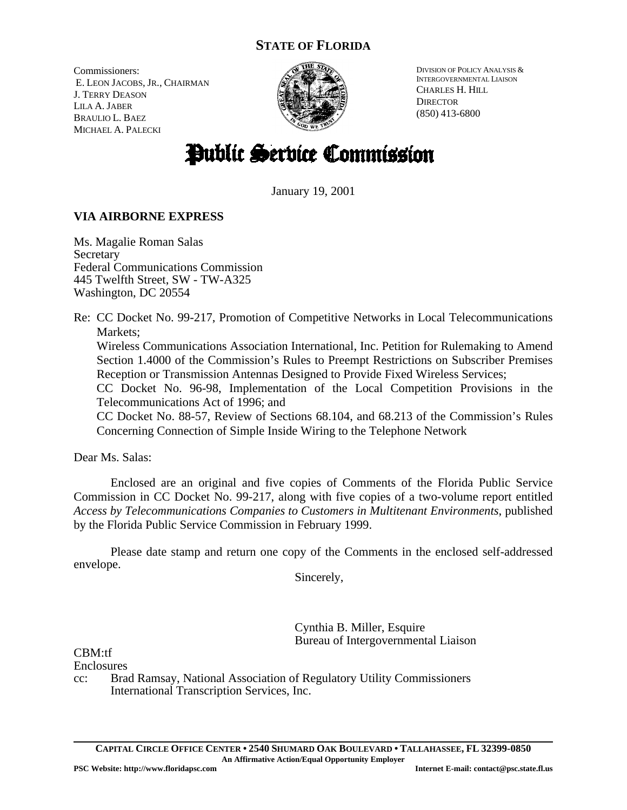# **STATE OF FLORIDA**

Commissioners: E. LEON JACOBS, JR., CHAIRMAN J. TERRY DEASON LILA A. JABER BRAULIO L. BAEZ MICHAEL A. PALECKI



DIVISION OF POLICY ANALYSIS & INTERGOVERNMENTAL LIAISON CHARLES H. HILL **DIRECTOR** (850) 413-6800

# Public Service Commission

January 19, 2001

# **VIA AIRBORNE EXPRESS**

Ms. Magalie Roman Salas **Secretary** Federal Communications Commission 445 Twelfth Street, SW - TW-A325 Washington, DC 20554

Re: CC Docket No. 99-217, Promotion of Competitive Networks in Local Telecommunications Markets;

Wireless Communications Association International, Inc. Petition for Rulemaking to Amend Section 1.4000 of the Commission's Rules to Preempt Restrictions on Subscriber Premises Reception or Transmission Antennas Designed to Provide Fixed Wireless Services;

CC Docket No. 96-98, Implementation of the Local Competition Provisions in the Telecommunications Act of 1996; and

CC Docket No. 88-57, Review of Sections 68.104, and 68.213 of the Commission's Rules Concerning Connection of Simple Inside Wiring to the Telephone Network

Dear Ms. Salas:

Enclosed are an original and five copies of Comments of the Florida Public Service Commission in CC Docket No. 99-217, along with five copies of a two-volume report entitled *Access by Telecommunications Companies to Customers in Multitenant Environments*, published by the Florida Public Service Commission in February 1999.

Please date stamp and return one copy of the Comments in the enclosed self-addressed envelope.

Sincerely,

Cynthia B. Miller, Esquire Bureau of Intergovernmental Liaison

CBM:tf

**Enclosures** 

cc: Brad Ramsay, National Association of Regulatory Utility Commissioners International Transcription Services, Inc.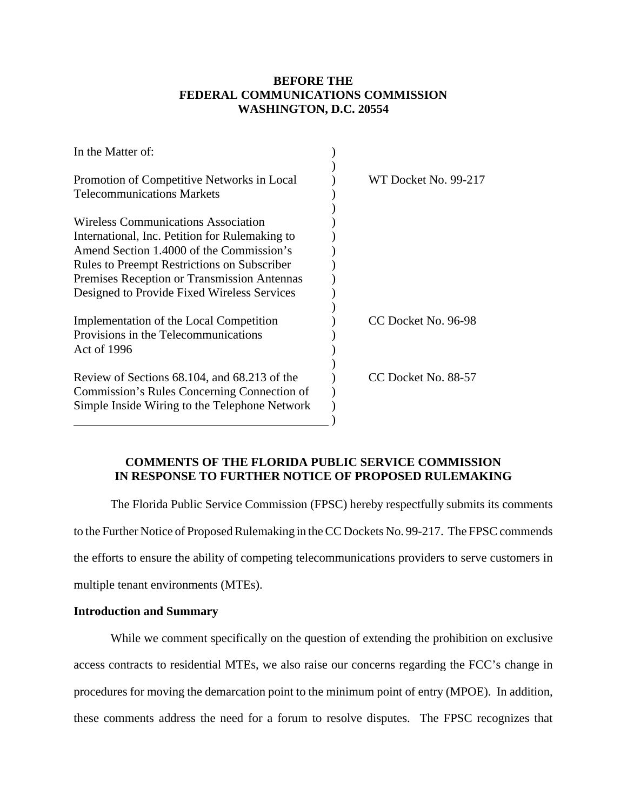## **BEFORE THE FEDERAL COMMUNICATIONS COMMISSION WASHINGTON, D.C. 20554**

| In the Matter of:                                                                                                                                                                                                                                                                            |                      |
|----------------------------------------------------------------------------------------------------------------------------------------------------------------------------------------------------------------------------------------------------------------------------------------------|----------------------|
| Promotion of Competitive Networks in Local<br><b>Telecommunications Markets</b>                                                                                                                                                                                                              | WT Docket No. 99-217 |
| <b>Wireless Communications Association</b><br>International, Inc. Petition for Rulemaking to<br>Amend Section 1.4000 of the Commission's<br><b>Rules to Preempt Restrictions on Subscriber</b><br>Premises Reception or Transmission Antennas<br>Designed to Provide Fixed Wireless Services |                      |
| Implementation of the Local Competition<br>Provisions in the Telecommunications<br>Act of 1996                                                                                                                                                                                               | CC Docket No. 96-98  |
| Review of Sections 68.104, and 68.213 of the<br>Commission's Rules Concerning Connection of<br>Simple Inside Wiring to the Telephone Network                                                                                                                                                 | CC Docket No. 88-57  |

### **COMMENTS OF THE FLORIDA PUBLIC SERVICE COMMISSION IN RESPONSE TO FURTHER NOTICE OF PROPOSED RULEMAKING**

The Florida Public Service Commission (FPSC) hereby respectfully submits its comments to the Further Notice of Proposed Rulemaking in the CC Dockets No. 99-217. The FPSC commends the efforts to ensure the ability of competing telecommunications providers to serve customers in multiple tenant environments (MTEs).

#### **Introduction and Summary**

While we comment specifically on the question of extending the prohibition on exclusive access contracts to residential MTEs, we also raise our concerns regarding the FCC's change in procedures for moving the demarcation point to the minimum point of entry (MPOE). In addition, these comments address the need for a forum to resolve disputes. The FPSC recognizes that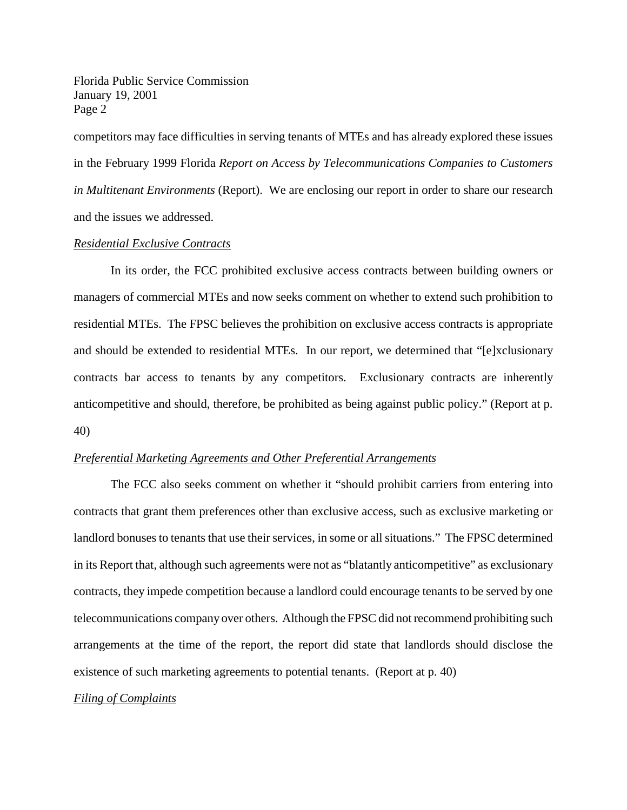competitors may face difficulties in serving tenants of MTEs and has already explored these issues in the February 1999 Florida *Report on Access by Telecommunications Companies to Customers in Multitenant Environments* (Report). We are enclosing our report in order to share our research and the issues we addressed.

#### *Residential Exclusive Contracts*

In its order, the FCC prohibited exclusive access contracts between building owners or managers of commercial MTEs and now seeks comment on whether to extend such prohibition to residential MTEs. The FPSC believes the prohibition on exclusive access contracts is appropriate and should be extended to residential MTEs. In our report, we determined that "[e]xclusionary contracts bar access to tenants by any competitors. Exclusionary contracts are inherently anticompetitive and should, therefore, be prohibited as being against public policy." (Report at p. 40)

#### *Preferential Marketing Agreements and Other Preferential Arrangements*

The FCC also seeks comment on whether it "should prohibit carriers from entering into contracts that grant them preferences other than exclusive access, such as exclusive marketing or landlord bonuses to tenants that use their services, in some or all situations." The FPSC determined in its Report that, although such agreements were not as "blatantly anticompetitive" as exclusionary contracts, they impede competition because a landlord could encourage tenants to be served by one telecommunications company over others. Although the FPSC did not recommend prohibiting such arrangements at the time of the report, the report did state that landlords should disclose the existence of such marketing agreements to potential tenants. (Report at p. 40)

#### *Filing of Complaints*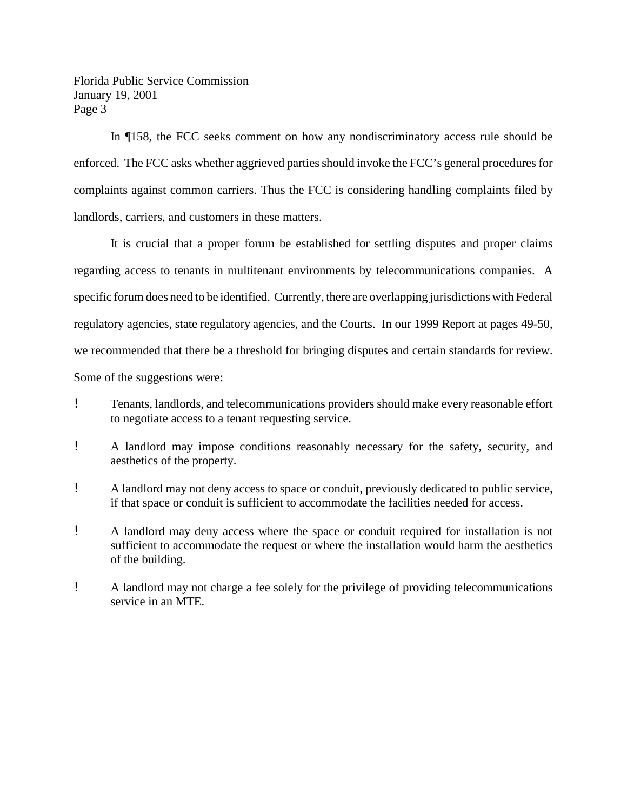In ¶158, the FCC seeks comment on how any nondiscriminatory access rule should be enforced. The FCC asks whether aggrieved parties should invoke the FCC's general procedures for complaints against common carriers. Thus the FCC is considering handling complaints filed by landlords, carriers, and customers in these matters.

It is crucial that a proper forum be established for settling disputes and proper claims regarding access to tenants in multitenant environments by telecommunications companies. A specific forum does need to be identified. Currently, there are overlapping jurisdictions with Federal regulatory agencies, state regulatory agencies, and the Courts. In our 1999 Report at pages 49-50, we recommended that there be a threshold for bringing disputes and certain standards for review. Some of the suggestions were:

- ! Tenants, landlords, and telecommunications providers should make every reasonable effort to negotiate access to a tenant requesting service.
- ! A landlord may impose conditions reasonably necessary for the safety, security, and aesthetics of the property.
- ! A landlord may not deny access to space or conduit, previously dedicated to public service, if that space or conduit is sufficient to accommodate the facilities needed for access.
- ! A landlord may deny access where the space or conduit required for installation is not sufficient to accommodate the request or where the installation would harm the aesthetics of the building.
- ! A landlord may not charge a fee solely for the privilege of providing telecommunications service in an MTE.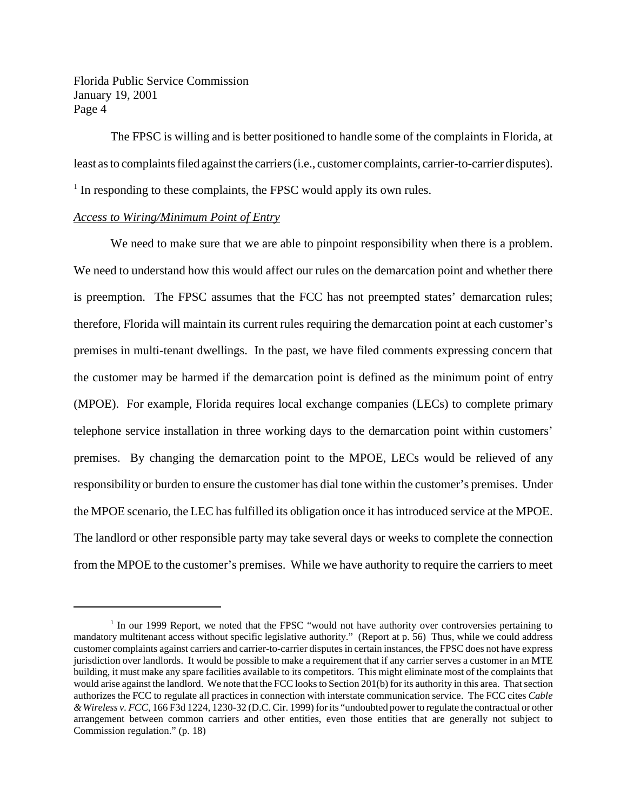The FPSC is willing and is better positioned to handle some of the complaints in Florida, at least as to complaints filed against the carriers (i.e., customer complaints, carrier-to-carrier disputes). <sup>1</sup> In responding to these complaints, the FPSC would apply its own rules.

#### *Access to Wiring/Minimum Point of Entry*

We need to make sure that we are able to pinpoint responsibility when there is a problem. We need to understand how this would affect our rules on the demarcation point and whether there is preemption. The FPSC assumes that the FCC has not preempted states' demarcation rules; therefore, Florida will maintain its current rules requiring the demarcation point at each customer's premises in multi-tenant dwellings. In the past, we have filed comments expressing concern that the customer may be harmed if the demarcation point is defined as the minimum point of entry (MPOE). For example, Florida requires local exchange companies (LECs) to complete primary telephone service installation in three working days to the demarcation point within customers' premises. By changing the demarcation point to the MPOE, LECs would be relieved of any responsibility or burden to ensure the customer has dial tone within the customer's premises. Under the MPOE scenario, the LEC has fulfilled its obligation once it has introduced service at the MPOE. The landlord or other responsible party may take several days or weeks to complete the connection from the MPOE to the customer's premises. While we have authority to require the carriers to meet

<sup>&</sup>lt;sup>1</sup> In our 1999 Report, we noted that the FPSC "would not have authority over controversies pertaining to mandatory multitenant access without specific legislative authority." (Report at p. 56) Thus, while we could address customer complaints against carriers and carrier-to-carrier disputesin certain instances, the FPSC does not have express jurisdiction over landlords. It would be possible to make a requirement that if any carrier serves a customer in an MTE building, it must make any spare facilities available to its competitors. This might eliminate most of the complaints that would arise against the landlord. We note that the FCC looks to Section 201(b) for its authority in this area. That section authorizes the FCC to regulate all practices in connection with interstate communication service. The FCC cites *Cable &Wireless v. FCC*, 166 F3d 1224, 1230-32 (D.C. Cir. 1999) forits "undoubted powerto regulate the contractual or other arrangement between common carriers and other entities, even those entities that are generally not subject to Commission regulation." (p. 18)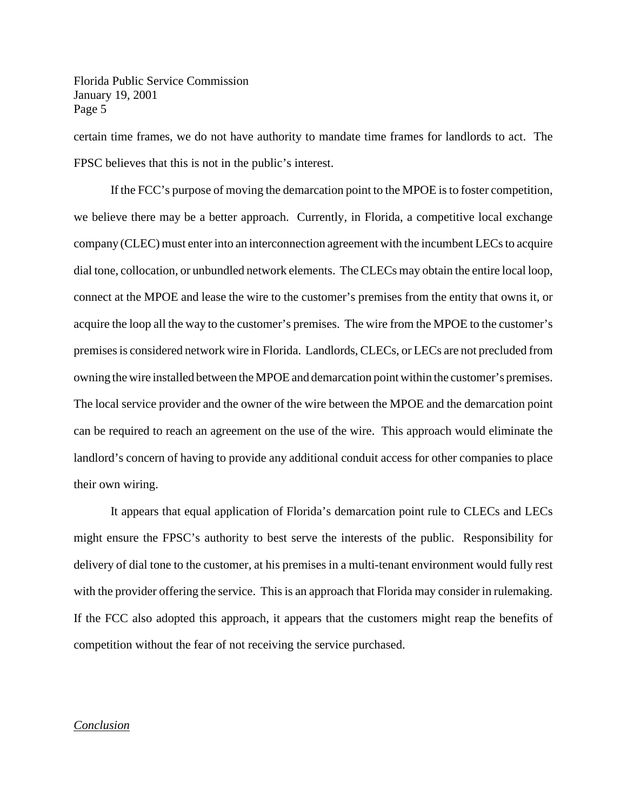certain time frames, we do not have authority to mandate time frames for landlords to act. The FPSC believes that this is not in the public's interest.

If the FCC's purpose of moving the demarcation point to the MPOE isto foster competition, we believe there may be a better approach. Currently, in Florida, a competitive local exchange company (CLEC) must enter into an interconnection agreement with the incumbent LECs to acquire dial tone, collocation, or unbundled network elements. The CLECs may obtain the entire local loop, connect at the MPOE and lease the wire to the customer's premises from the entity that owns it, or acquire the loop all the way to the customer's premises. The wire from the MPOE to the customer's premisesis considered network wire in Florida. Landlords, CLECs, or LECs are not precluded from owning the wire installed between the MPOE and demarcation point within the customer's premises. The local service provider and the owner of the wire between the MPOE and the demarcation point can be required to reach an agreement on the use of the wire. This approach would eliminate the landlord's concern of having to provide any additional conduit access for other companies to place their own wiring.

It appears that equal application of Florida's demarcation point rule to CLECs and LECs might ensure the FPSC's authority to best serve the interests of the public. Responsibility for delivery of dial tone to the customer, at his premises in a multi-tenant environment would fully rest with the provider offering the service. This is an approach that Florida may consider in rulemaking. If the FCC also adopted this approach, it appears that the customers might reap the benefits of competition without the fear of not receiving the service purchased.

#### *Conclusion*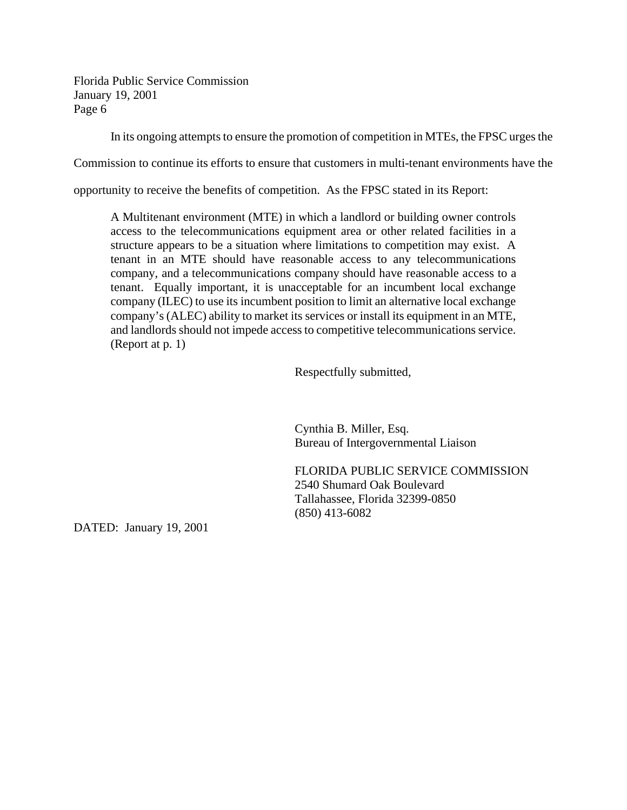In its ongoing attempts to ensure the promotion of competition in MTEs, the FPSC urges the

Commission to continue its efforts to ensure that customers in multi-tenant environments have the

opportunity to receive the benefits of competition. As the FPSC stated in its Report:

A Multitenant environment (MTE) in which a landlord or building owner controls access to the telecommunications equipment area or other related facilities in a structure appears to be a situation where limitations to competition may exist. A tenant in an MTE should have reasonable access to any telecommunications company, and a telecommunications company should have reasonable access to a tenant. Equally important, it is unacceptable for an incumbent local exchange company (ILEC) to use its incumbent position to limit an alternative local exchange company's (ALEC) ability to market its services or install its equipment in an MTE, and landlords should not impede access to competitive telecommunications service. (Report at p. 1)

Respectfully submitted,

Cynthia B. Miller, Esq. Bureau of Intergovernmental Liaison

FLORIDA PUBLIC SERVICE COMMISSION 2540 Shumard Oak Boulevard Tallahassee, Florida 32399-0850 (850) 413-6082

DATED: January 19, 2001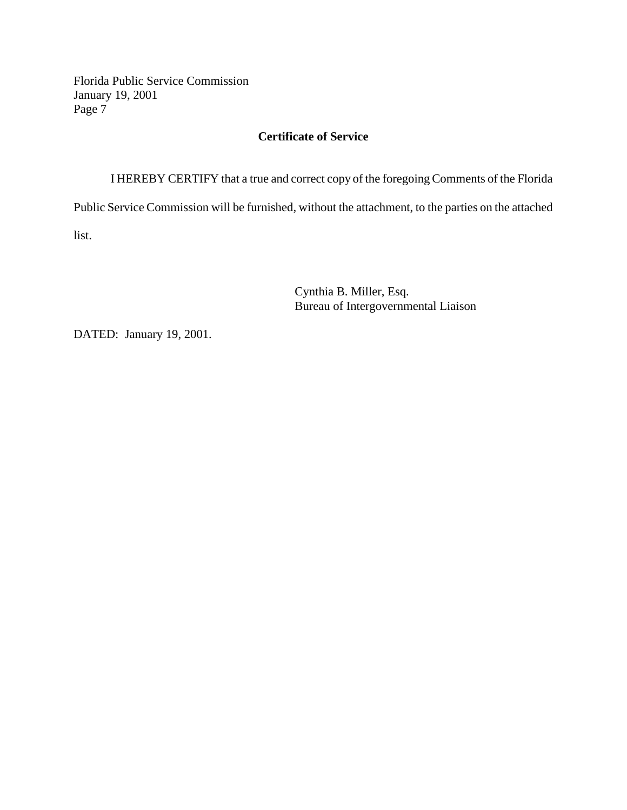# **Certificate of Service**

I HEREBY CERTIFY that a true and correct copy of the foregoing Comments of the Florida Public Service Commission will be furnished, without the attachment, to the parties on the attached list.

> Cynthia B. Miller, Esq. Bureau of Intergovernmental Liaison

DATED: January 19, 2001.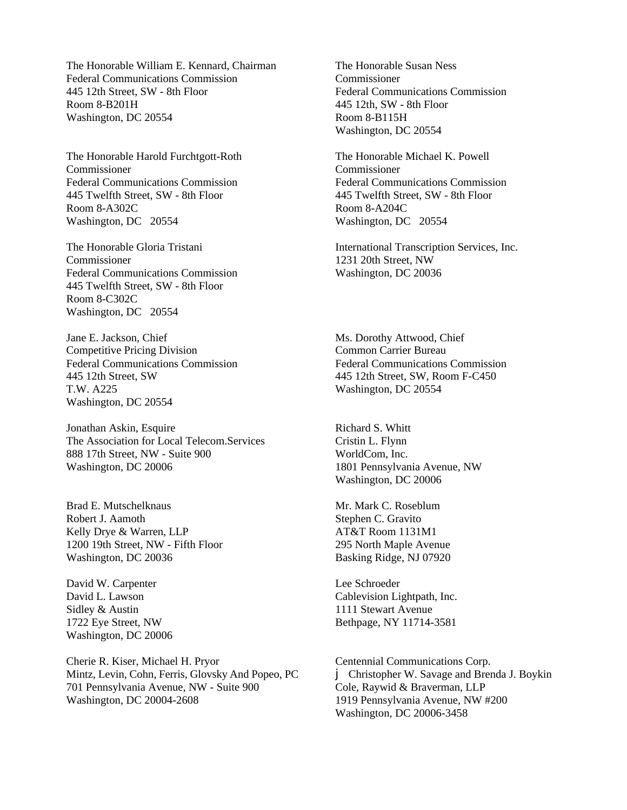The Honorable William E. Kennard, Chairman Federal Communications Commission 445 12th Street, SW - 8th Floor Room 8-B201H Washington, DC 20554

The Honorable Harold Furchtgott-Roth Commissioner Federal Communications Commission 445 Twelfth Street, SW - 8th Floor Room 8-A302C Washington, DC 20554

The Honorable Gloria Tristani Commissioner Federal Communications Commission 445 Twelfth Street, SW - 8th Floor Room 8-C302C Washington, DC 20554

Jane E. Jackson, Chief Competitive Pricing Division Federal Communications Commission 445 12th Street, SW T.W. A225 Washington, DC 20554

Jonathan Askin, Esquire The Association for Local Telecom.Services 888 17th Street, NW - Suite 900 Washington, DC 20006

Brad E. Mutschelknaus Robert J. Aamoth Kelly Drye & Warren, LLP 1200 19th Street, NW - Fifth Floor Washington, DC 20036

David W. Carpenter David L. Lawson Sidley & Austin 1722 Eye Street, NW Washington, DC 20006

Cherie R. Kiser, Michael H. Pryor Mintz, Levin, Cohn, Ferris, Glovsky And Popeo, PC 701 Pennsylvania Avenue, NW - Suite 900 Washington, DC 20004-2608

The Honorable Susan Ness Commissioner Federal Communications Commission 445 12th, SW - 8th Floor Room 8-B115H Washington, DC 20554

The Honorable Michael K. Powell Commissioner Federal Communications Commission 445 Twelfth Street, SW - 8th Floor Room 8-A204C Washington, DC 20554

International Transcription Services, Inc. 1231 20th Street, NW Washington, DC 20036

Ms. Dorothy Attwood, Chief Common Carrier Bureau Federal Communications Commission 445 12th Street, SW, Room F-C450 Washington, DC 20554

Richard S. Whitt Cristin L. Flynn WorldCom, Inc. 1801 Pennsylvania Avenue, NW Washington, DC 20006

Mr. Mark C. Roseblum Stephen C. Gravito AT&T Room 1131M1 295 North Maple Avenue Basking Ridge, NJ 07920

Lee Schroeder Cablevision Lightpath, Inc. 1111 Stewart Avenue Bethpage, NY 11714-3581

Centennial Communications Corp. j Christopher W. Savage and Brenda J. Boykin Cole, Raywid & Braverman, LLP 1919 Pennsylvania Avenue, NW #200 Washington, DC 20006-3458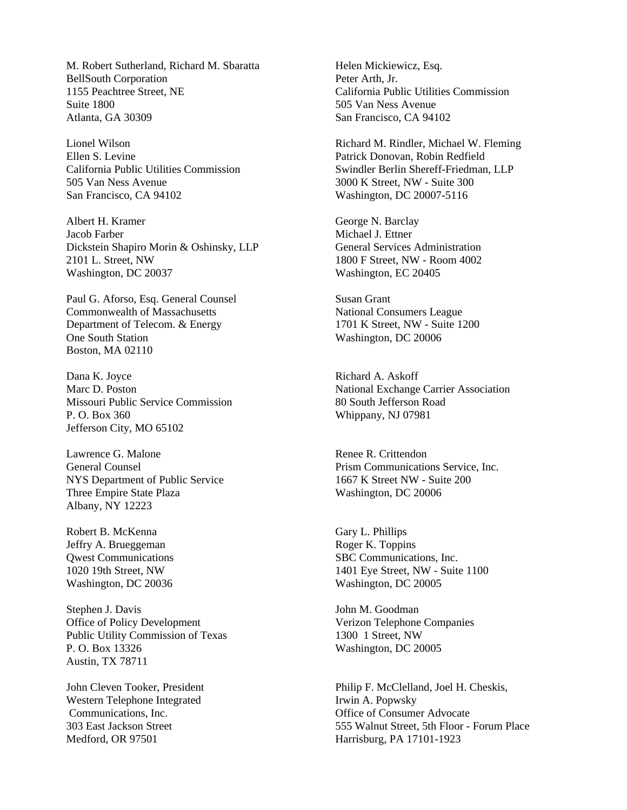M. Robert Sutherland, Richard M. Sbaratta BellSouth Corporation 1155 Peachtree Street, NE Suite 1800 Atlanta, GA 30309

Lionel Wilson Ellen S. Levine California Public Utilities Commission 505 Van Ness Avenue San Francisco, CA 94102

Albert H. Kramer Jacob Farber Dickstein Shapiro Morin & Oshinsky, LLP 2101 L. Street, NW Washington, DC 20037

Paul G. Aforso, Esq. General Counsel Commonwealth of Massachusetts Department of Telecom. & Energy One South Station Boston, MA 02110

Dana K. Joyce Marc D. Poston Missouri Public Service Commission P. O. Box 360 Jefferson City, MO 65102

Lawrence G. Malone General Counsel NYS Department of Public Service Three Empire State Plaza Albany, NY 12223

Robert B. McKenna Jeffry A. Brueggeman Qwest Communications 1020 19th Street, NW Washington, DC 20036

Stephen J. Davis Office of Policy Development Public Utility Commission of Texas P. O. Box 13326 Austin, TX 78711

John Cleven Tooker, President Western Telephone Integrated Communications, Inc. 303 East Jackson Street Medford, OR 97501

Helen Mickiewicz, Esq. Peter Arth, Jr. California Public Utilities Commission 505 Van Ness Avenue San Francisco, CA 94102

Richard M. Rindler, Michael W. Fleming Patrick Donovan, Robin Redfield Swindler Berlin Shereff-Friedman, LLP 3000 K Street, NW - Suite 300 Washington, DC 20007-5116

George N. Barclay Michael J. Ettner General Services Administration 1800 F Street, NW - Room 4002 Washington, EC 20405

Susan Grant National Consumers League 1701 K Street, NW - Suite 1200 Washington, DC 20006

Richard A. Askoff National Exchange Carrier Association 80 South Jefferson Road Whippany, NJ 07981

Renee R. Crittendon Prism Communications Service, Inc. 1667 K Street NW - Suite 200 Washington, DC 20006

Gary L. Phillips Roger K. Toppins SBC Communications, Inc. 1401 Eye Street, NW - Suite 1100 Washington, DC 20005

John M. Goodman Verizon Telephone Companies 1300 1 Street, NW Washington, DC 20005

Philip F. McClelland, Joel H. Cheskis, Irwin A. Popwsky Office of Consumer Advocate 555 Walnut Street, 5th Floor - Forum Place Harrisburg, PA 17101-1923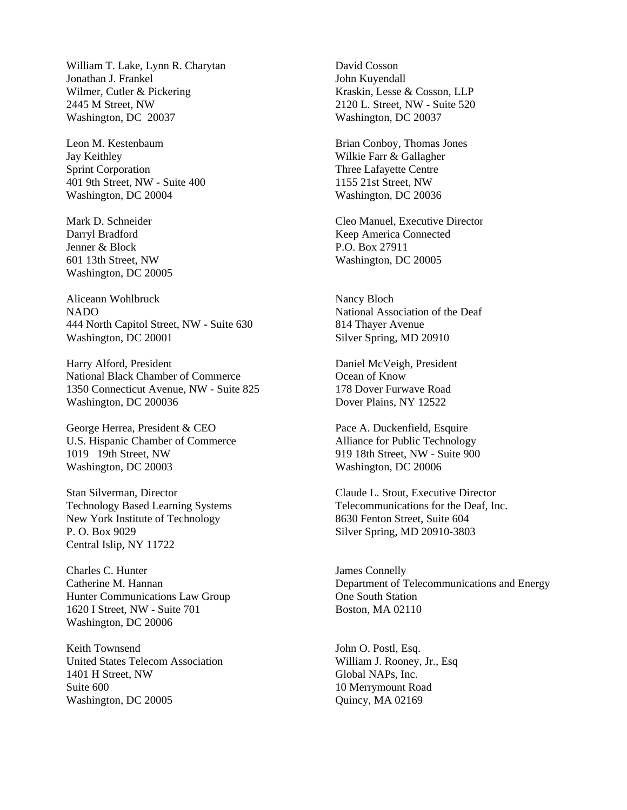William T. Lake, Lynn R. Charytan Jonathan J. Frankel Wilmer, Cutler & Pickering 2445 M Street, NW Washington, DC 20037

Leon M. Kestenbaum Jay Keithley Sprint Corporation 401 9th Street, NW - Suite 400 Washington, DC 20004

Mark D. Schneider Darryl Bradford Jenner & Block 601 13th Street, NW Washington, DC 20005

Aliceann Wohlbruck NADO 444 North Capitol Street, NW - Suite 630 Washington, DC 20001

Harry Alford, President National Black Chamber of Commerce 1350 Connecticut Avenue, NW - Suite 825 Washington, DC 200036

George Herrea, President & CEO U.S. Hispanic Chamber of Commerce 1019 19th Street, NW Washington, DC 20003

Stan Silverman, Director Technology Based Learning Systems New York Institute of Technology P. O. Box 9029 Central Islip, NY 11722

Charles C. Hunter Catherine M. Hannan Hunter Communications Law Group 1620 I Street, NW - Suite 701 Washington, DC 20006

Keith Townsend United States Telecom Association 1401 H Street, NW Suite 600 Washington, DC 20005

David Cosson John Kuyendall Kraskin, Lesse & Cosson, LLP 2120 L. Street, NW - Suite 520 Washington, DC 20037

Brian Conboy, Thomas Jones Wilkie Farr & Gallagher Three Lafayette Centre 1155 21st Street, NW Washington, DC 20036

Cleo Manuel, Executive Director Keep America Connected P.O. Box 27911 Washington, DC 20005

Nancy Bloch National Association of the Deaf 814 Thayer Avenue Silver Spring, MD 20910

Daniel McVeigh, President Ocean of Know 178 Dover Furwave Road Dover Plains, NY 12522

Pace A. Duckenfield, Esquire Alliance for Public Technology 919 18th Street, NW - Suite 900 Washington, DC 20006

Claude L. Stout, Executive Director Telecommunications for the Deaf, Inc. 8630 Fenton Street, Suite 604 Silver Spring, MD 20910-3803

James Connelly Department of Telecommunications and Energy One South Station Boston, MA 02110

John O. Postl, Esq. William J. Rooney, Jr., Esq Global NAPs, Inc. 10 Merrymount Road Quincy, MA 02169